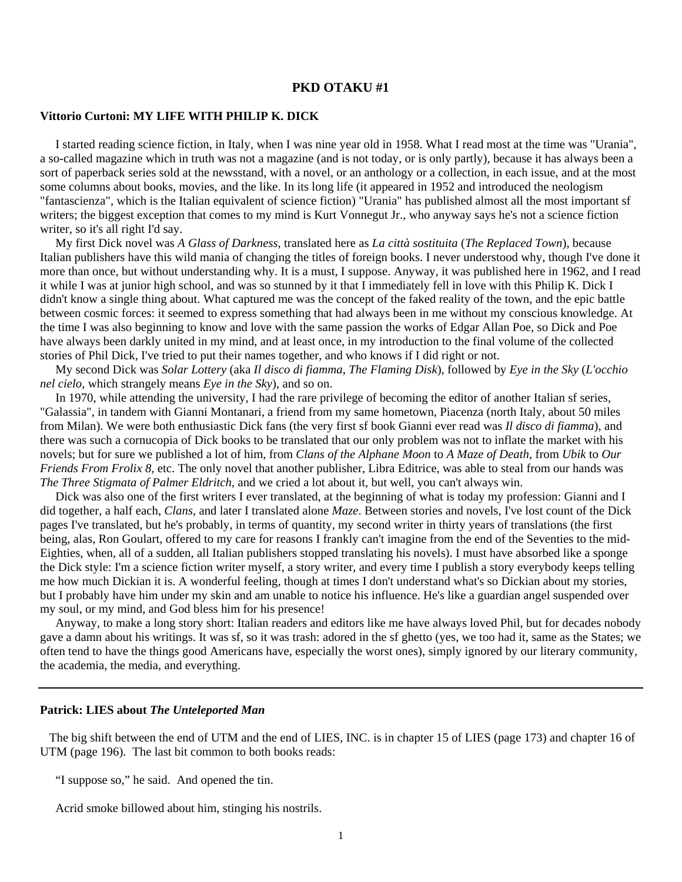## **PKD OTAKU #1**

## **Vittorio Curtoni: MY LIFE WITH PHILIP K. DICK**

 I started reading science fiction, in Italy, when I was nine year old in 1958. What I read most at the time was "Urania", a so-called magazine which in truth was not a magazine (and is not today, or is only partly), because it has always been a sort of paperback series sold at the newsstand, with a novel, or an anthology or a collection, in each issue, and at the most some columns about books, movies, and the like. In its long life (it appeared in 1952 and introduced the neologism "fantascienza", which is the Italian equivalent of science fiction) "Urania" has published almost all the most important sf writers; the biggest exception that comes to my mind is Kurt Vonnegut Jr., who anyway says he's not a science fiction writer, so it's all right I'd say.

 My first Dick novel was *A Glass of Darkness*, translated here as *La città sostituita* (*The Replaced Town*), because Italian publishers have this wild mania of changing the titles of foreign books. I never understood why, though I've done it more than once, but without understanding why. It is a must, I suppose. Anyway, it was published here in 1962, and I read it while I was at junior high school, and was so stunned by it that I immediately fell in love with this Philip K. Dick I didn't know a single thing about. What captured me was the concept of the faked reality of the town, and the epic battle between cosmic forces: it seemed to express something that had always been in me without my conscious knowledge. At the time I was also beginning to know and love with the same passion the works of Edgar Allan Poe, so Dick and Poe have always been darkly united in my mind, and at least once, in my introduction to the final volume of the collected stories of Phil Dick, I've tried to put their names together, and who knows if I did right or not.

 My second Dick was *Solar Lottery* (aka *Il disco di fiamma*, *The Flaming Disk*), followed by *Eye in the Sky* (*L'occhio nel cielo*, which strangely means *Eye in the Sky*), and so on.

 In 1970, while attending the university, I had the rare privilege of becoming the editor of another Italian sf series, "Galassia", in tandem with Gianni Montanari, a friend from my same hometown, Piacenza (north Italy, about 50 miles from Milan). We were both enthusiastic Dick fans (the very first sf book Gianni ever read was *Il disco di fiamma*), and there was such a cornucopia of Dick books to be translated that our only problem was not to inflate the market with his novels; but for sure we published a lot of him, from *Clans of the Alphane Moon* to *A Maze of Death*, from *Ubik* to *Our Friends From Frolix 8*, etc. The only novel that another publisher, Libra Editrice, was able to steal from our hands was *The Three Stigmata of Palmer Eldritch*, and we cried a lot about it, but well, you can't always win.

 Dick was also one of the first writers I ever translated, at the beginning of what is today my profession: Gianni and I did together, a half each, *Clans*, and later I translated alone *Maze*. Between stories and novels, I've lost count of the Dick pages I've translated, but he's probably, in terms of quantity, my second writer in thirty years of translations (the first being, alas, Ron Goulart, offered to my care for reasons I frankly can't imagine from the end of the Seventies to the mid-Eighties, when, all of a sudden, all Italian publishers stopped translating his novels). I must have absorbed like a sponge the Dick style: I'm a science fiction writer myself, a story writer, and every time I publish a story everybody keeps telling me how much Dickian it is. A wonderful feeling, though at times I don't understand what's so Dickian about my stories, but I probably have him under my skin and am unable to notice his influence. He's like a guardian angel suspended over my soul, or my mind, and God bless him for his presence!

 Anyway, to make a long story short: Italian readers and editors like me have always loved Phil, but for decades nobody gave a damn about his writings. It was sf, so it was trash: adored in the sf ghetto (yes, we too had it, same as the States; we often tend to have the things good Americans have, especially the worst ones), simply ignored by our literary community, the academia, the media, and everything.

## **Patrick: LIES about** *The Unteleported Man*

 The big shift between the end of UTM and the end of LIES, INC. is in chapter 15 of LIES (page 173) and chapter 16 of UTM (page 196). The last bit common to both books reads:

"I suppose so," he said. And opened the tin.

Acrid smoke billowed about him, stinging his nostrils.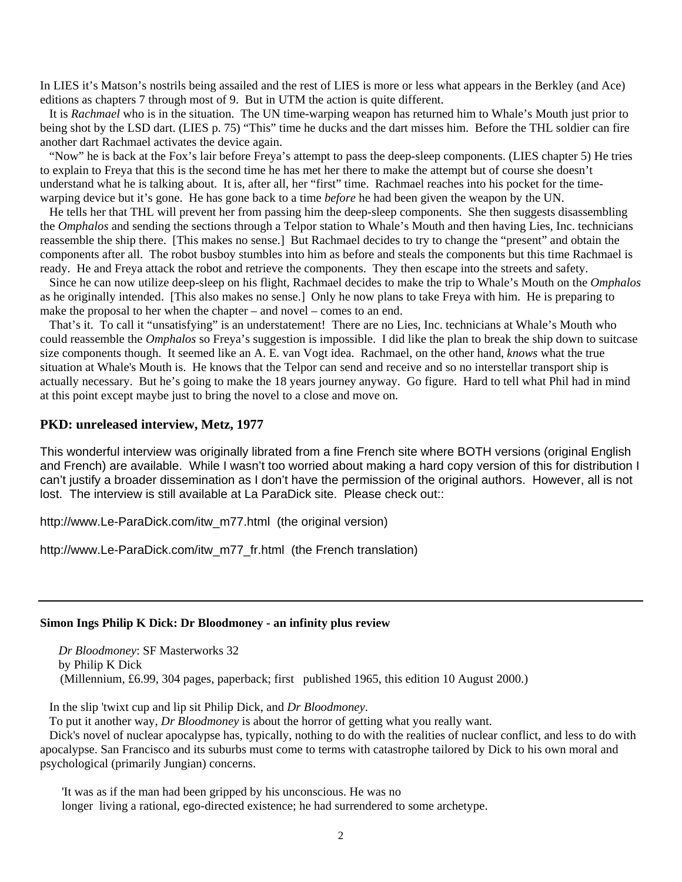In LIES it's Matson's nostrils being assailed and the rest of LIES is more or less what appears in the Berkley (and Ace) editions as chapters 7 through most of 9. But in UTM the action is quite different.

 It is *Rachmael* who is in the situation. The UN time-warping weapon has returned him to Whale's Mouth just prior to being shot by the LSD dart. (LIES p. 75) "This" time he ducks and the dart misses him. Before the THL soldier can fire another dart Rachmael activates the device again.

 "Now" he is back at the Fox's lair before Freya's attempt to pass the deep-sleep components. (LIES chapter 5) He tries to explain to Freya that this is the second time he has met her there to make the attempt but of course she doesn't understand what he is talking about. It is, after all, her "first" time. Rachmael reaches into his pocket for the timewarping device but it's gone. He has gone back to a time *before* he had been given the weapon by the UN.

 He tells her that THL will prevent her from passing him the deep-sleep components. She then suggests disassembling the *Omphalos* and sending the sections through a Telpor station to Whale's Mouth and then having Lies, Inc. technicians reassemble the ship there. [This makes no sense.] But Rachmael decides to try to change the "present" and obtain the components after all. The robot busboy stumbles into him as before and steals the components but this time Rachmael is ready. He and Freya attack the robot and retrieve the components. They then escape into the streets and safety.

 Since he can now utilize deep-sleep on his flight, Rachmael decides to make the trip to Whale's Mouth on the *Omphalos* as he originally intended. [This also makes no sense.] Only he now plans to take Freya with him. He is preparing to make the proposal to her when the chapter – and novel – comes to an end.

 That's it. To call it "unsatisfying" is an understatement! There are no Lies, Inc. technicians at Whale's Mouth who could reassemble the *Omphalos* so Freya's suggestion is impossible. I did like the plan to break the ship down to suitcase size components though. It seemed like an A. E. van Vogt idea. Rachmael, on the other hand, *knows* what the true situation at Whale's Mouth is. He knows that the Telpor can send and receive and so no interstellar transport ship is actually necessary. But he's going to make the 18 years journey anyway. Go figure. Hard to tell what Phil had in mind at this point except maybe just to bring the novel to a close and move on.

## **PKD: unreleased interview, Metz, 1977**

This wonderful interview was originally librated from a fine French site where BOTH versions (original English and French) are available. While I wasn't too worried about making a hard copy version of this for distribution I can't justify a broader dissemination as I don't have the permission of the original authors. However, all is not lost. The interview is still available at La ParaDick site. Please check out::

http://www.Le-ParaDick.com/itw\_m77.html (the original version)

http://www.Le-ParaDick.com/itw\_m77\_fr.html (the French translation)

#### **Simon Ings Philip K Dick: Dr Bloodmoney - an infinity plus review**

 *Dr Bloodmoney*: SF Masterworks 32 by Philip K Dick (Millennium, £6.99, 304 pages, paperback; first published 1965, this edition 10 August 2000.)

In the slip 'twixt cup and lip sit Philip Dick, and *Dr Bloodmoney*.

To put it another way, *Dr Bloodmoney* is about the horror of getting what you really want.

 Dick's novel of nuclear apocalypse has, typically, nothing to do with the realities of nuclear conflict, and less to do with apocalypse. San Francisco and its suburbs must come to terms with catastrophe tailored by Dick to his own moral and psychological (primarily Jungian) concerns.

'It was as if the man had been gripped by his unconscious. He was no longer living a rational, ego-directed existence; he had surrendered to some archetype.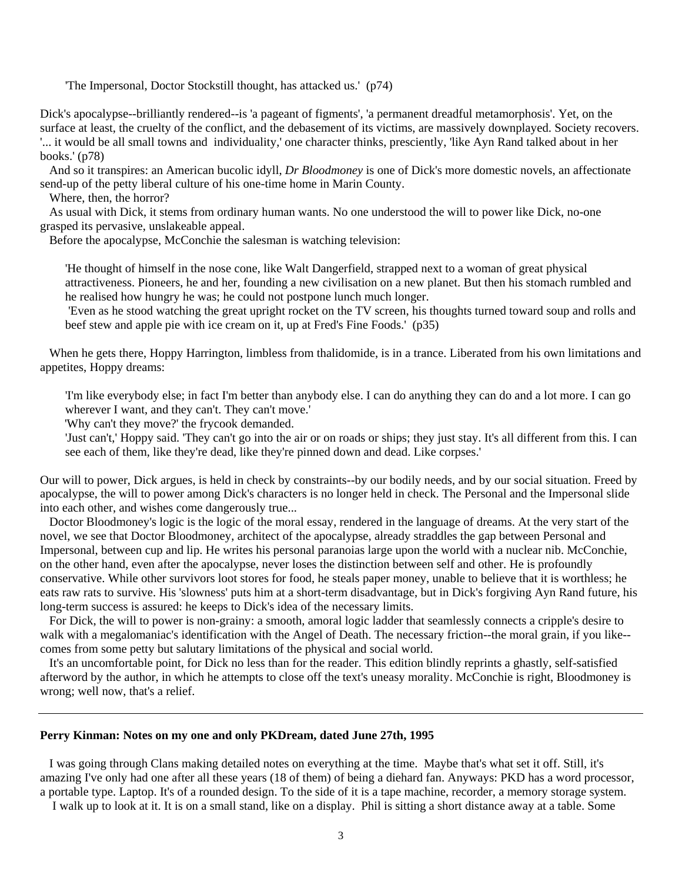'The Impersonal, Doctor Stockstill thought, has attacked us.' (p74)

Dick's apocalypse--brilliantly rendered--is 'a pageant of figments', 'a permanent dreadful metamorphosis'. Yet, on the surface at least, the cruelty of the conflict, and the debasement of its victims, are massively downplayed. Society recovers. '... it would be all small towns and individuality,' one character thinks, presciently, 'like Ayn Rand talked about in her books.' (p78)

 And so it transpires: an American bucolic idyll, *Dr Bloodmoney* is one of Dick's more domestic novels, an affectionate send-up of the petty liberal culture of his one-time home in Marin County.

Where, then, the horror?

 As usual with Dick, it stems from ordinary human wants. No one understood the will to power like Dick, no-one grasped its pervasive, unslakeable appeal.

Before the apocalypse, McConchie the salesman is watching television:

'He thought of himself in the nose cone, like Walt Dangerfield, strapped next to a woman of great physical attractiveness. Pioneers, he and her, founding a new civilisation on a new planet. But then his stomach rumbled and he realised how hungry he was; he could not postpone lunch much longer.

 'Even as he stood watching the great upright rocket on the TV screen, his thoughts turned toward soup and rolls and beef stew and apple pie with ice cream on it, up at Fred's Fine Foods.' (p35)

 When he gets there, Hoppy Harrington, limbless from thalidomide, is in a trance. Liberated from his own limitations and appetites, Hoppy dreams:

'I'm like everybody else; in fact I'm better than anybody else. I can do anything they can do and a lot more. I can go wherever I want, and they can't. They can't move.'

'Why can't they move?' the frycook demanded.

'Just can't,' Hoppy said. 'They can't go into the air or on roads or ships; they just stay. It's all different from this. I can see each of them, like they're dead, like they're pinned down and dead. Like corpses.'

Our will to power, Dick argues, is held in check by constraints--by our bodily needs, and by our social situation. Freed by apocalypse, the will to power among Dick's characters is no longer held in check. The Personal and the Impersonal slide into each other, and wishes come dangerously true...

 Doctor Bloodmoney's logic is the logic of the moral essay, rendered in the language of dreams. At the very start of the novel, we see that Doctor Bloodmoney, architect of the apocalypse, already straddles the gap between Personal and Impersonal, between cup and lip. He writes his personal paranoias large upon the world with a nuclear nib. McConchie, on the other hand, even after the apocalypse, never loses the distinction between self and other. He is profoundly conservative. While other survivors loot stores for food, he steals paper money, unable to believe that it is worthless; he eats raw rats to survive. His 'slowness' puts him at a short-term disadvantage, but in Dick's forgiving Ayn Rand future, his long-term success is assured: he keeps to Dick's idea of the necessary limits.

 For Dick, the will to power is non-grainy: a smooth, amoral logic ladder that seamlessly connects a cripple's desire to walk with a megalomaniac's identification with the Angel of Death. The necessary friction--the moral grain, if you like- comes from some petty but salutary limitations of the physical and social world.

 It's an uncomfortable point, for Dick no less than for the reader. This edition blindly reprints a ghastly, self-satisfied afterword by the author, in which he attempts to close off the text's uneasy morality. McConchie is right, Bloodmoney is wrong; well now, that's a relief.

# **Perry Kinman: Notes on my one and only PKDream, dated June 27th, 1995**

 I was going through Clans making detailed notes on everything at the time. Maybe that's what set it off. Still, it's amazing I've only had one after all these years (18 of them) of being a diehard fan. Anyways: PKD has a word processor, a portable type. Laptop. It's of a rounded design. To the side of it is a tape machine, recorder, a memory storage system.

I walk up to look at it. It is on a small stand, like on a display. Phil is sitting a short distance away at a table. Some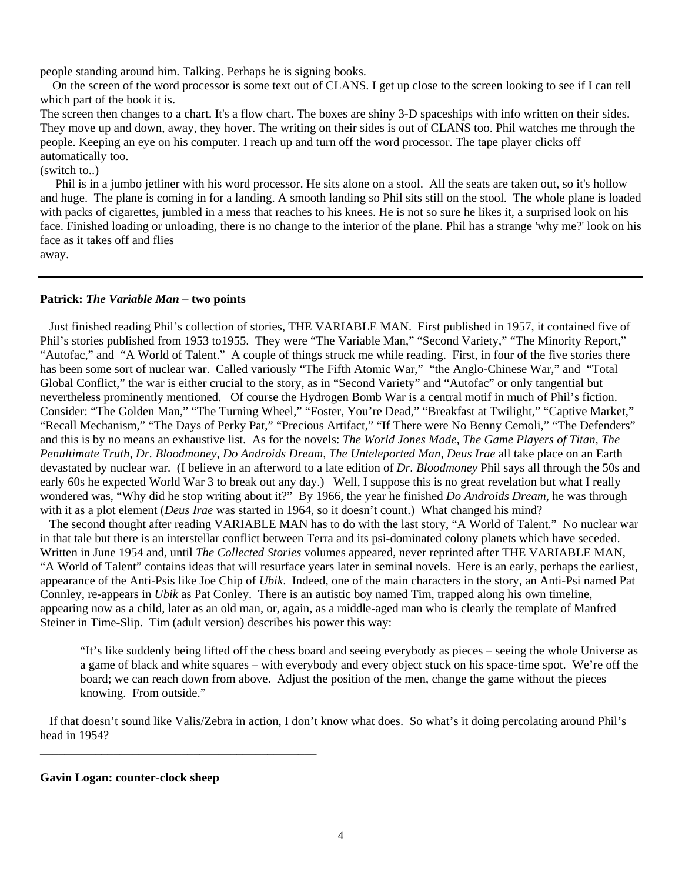people standing around him. Talking. Perhaps he is signing books.

 On the screen of the word processor is some text out of CLANS. I get up close to the screen looking to see if I can tell which part of the book it is.

The screen then changes to a chart. It's a flow chart. The boxes are shiny 3-D spaceships with info written on their sides. They move up and down, away, they hover. The writing on their sides is out of CLANS too. Phil watches me through the people. Keeping an eye on his computer. I reach up and turn off the word processor. The tape player clicks off automatically too.

(switch to..)

 Phil is in a jumbo jetliner with his word processor. He sits alone on a stool. All the seats are taken out, so it's hollow and huge. The plane is coming in for a landing. A smooth landing so Phil sits still on the stool. The whole plane is loaded with packs of cigarettes, jumbled in a mess that reaches to his knees. He is not so sure he likes it, a surprised look on his face. Finished loading or unloading, there is no change to the interior of the plane. Phil has a strange 'why me?' look on his face as it takes off and flies

away.

# **Patrick:** *The Variable Man* **– two points**

 Just finished reading Phil's collection of stories, THE VARIABLE MAN. First published in 1957, it contained five of Phil's stories published from 1953 to1955. They were "The Variable Man," "Second Variety," "The Minority Report," "Autofac," and "A World of Talent." A couple of things struck me while reading. First, in four of the five stories there has been some sort of nuclear war. Called variously "The Fifth Atomic War," "the Anglo-Chinese War," and "Total Global Conflict," the war is either crucial to the story, as in "Second Variety" and "Autofac" or only tangential but nevertheless prominently mentioned. Of course the Hydrogen Bomb War is a central motif in much of Phil's fiction. Consider: "The Golden Man," "The Turning Wheel," "Foster, You're Dead," "Breakfast at Twilight," "Captive Market," "Recall Mechanism," "The Days of Perky Pat," "Precious Artifact," "If There were No Benny Cemoli," "The Defenders" and this is by no means an exhaustive list. As for the novels: *The World Jones Made, The Game Players of Titan, The Penultimate Truth, Dr. Bloodmoney, Do Androids Dream, The Unteleported Man, Deus Irae* all take place on an Earth devastated by nuclear war. (I believe in an afterword to a late edition of *Dr. Bloodmoney* Phil says all through the 50s and early 60s he expected World War 3 to break out any day.) Well, I suppose this is no great revelation but what I really wondered was, "Why did he stop writing about it?" By 1966, the year he finished *Do Androids Dream*, he was through with it as a plot element *(Deus Irae* was started in 1964, so it doesn't count.) What changed his mind?

 The second thought after reading VARIABLE MAN has to do with the last story, "A World of Talent." No nuclear war in that tale but there is an interstellar conflict between Terra and its psi-dominated colony planets which have seceded. Written in June 1954 and, until *The Collected Stories* volumes appeared, never reprinted after THE VARIABLE MAN, "A World of Talent" contains ideas that will resurface years later in seminal novels. Here is an early, perhaps the earliest, appearance of the Anti-Psis like Joe Chip of *Ubik*. Indeed, one of the main characters in the story, an Anti-Psi named Pat Connley, re-appears in *Ubik* as Pat Conley. There is an autistic boy named Tim, trapped along his own timeline, appearing now as a child, later as an old man, or, again, as a middle-aged man who is clearly the template of Manfred Steiner in Time-Slip. Tim (adult version) describes his power this way:

"It's like suddenly being lifted off the chess board and seeing everybody as pieces – seeing the whole Universe as a game of black and white squares – with everybody and every object stuck on his space-time spot. We're off the board; we can reach down from above. Adjust the position of the men, change the game without the pieces knowing. From outside."

 If that doesn't sound like Valis/Zebra in action, I don't know what does. So what's it doing percolating around Phil's head in 1954?

**Gavin Logan: counter-clock sheep** 

\_\_\_\_\_\_\_\_\_\_\_\_\_\_\_\_\_\_\_\_\_\_\_\_\_\_\_\_\_\_\_\_\_\_\_\_\_\_\_\_\_\_\_\_\_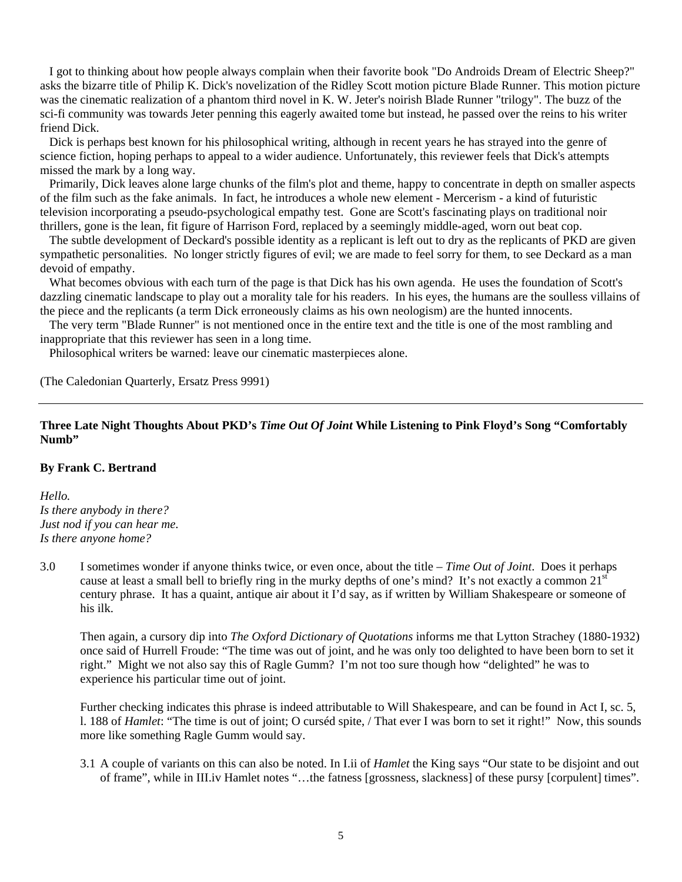I got to thinking about how people always complain when their favorite book "Do Androids Dream of Electric Sheep?" asks the bizarre title of Philip K. Dick's novelization of the Ridley Scott motion picture Blade Runner. This motion picture was the cinematic realization of a phantom third novel in K. W. Jeter's noirish Blade Runner "trilogy". The buzz of the sci-fi community was towards Jeter penning this eagerly awaited tome but instead, he passed over the reins to his writer friend Dick.

 Dick is perhaps best known for his philosophical writing, although in recent years he has strayed into the genre of science fiction, hoping perhaps to appeal to a wider audience. Unfortunately, this reviewer feels that Dick's attempts missed the mark by a long way.

 Primarily, Dick leaves alone large chunks of the film's plot and theme, happy to concentrate in depth on smaller aspects of the film such as the fake animals. In fact, he introduces a whole new element - Mercerism - a kind of futuristic television incorporating a pseudo-psychological empathy test. Gone are Scott's fascinating plays on traditional noir thrillers, gone is the lean, fit figure of Harrison Ford, replaced by a seemingly middle-aged, worn out beat cop.

 The subtle development of Deckard's possible identity as a replicant is left out to dry as the replicants of PKD are given sympathetic personalities. No longer strictly figures of evil; we are made to feel sorry for them, to see Deckard as a man devoid of empathy.

 What becomes obvious with each turn of the page is that Dick has his own agenda. He uses the foundation of Scott's dazzling cinematic landscape to play out a morality tale for his readers. In his eyes, the humans are the soulless villains of the piece and the replicants (a term Dick erroneously claims as his own neologism) are the hunted innocents.

 The very term "Blade Runner" is not mentioned once in the entire text and the title is one of the most rambling and inappropriate that this reviewer has seen in a long time.

Philosophical writers be warned: leave our cinematic masterpieces alone.

(The Caledonian Quarterly, Ersatz Press 9991)

# **Three Late Night Thoughts About PKD's** *Time Out Of Joint* **While Listening to Pink Floyd's Song "Comfortably Numb"**

### **By Frank C. Bertrand**

*Hello. Is there anybody in there? Just nod if you can hear me. Is there anyone home?*

3.0 I sometimes wonder if anyone thinks twice, or even once, about the title – *Time Out of Joint*. Does it perhaps cause at least a small bell to briefly ring in the murky depths of one's mind? It's not exactly a common 21<sup>st</sup> century phrase. It has a quaint, antique air about it I'd say, as if written by William Shakespeare or someone of his ilk.

 Then again, a cursory dip into *The Oxford Dictionary of Quotations* informs me that Lytton Strachey (1880-1932) once said of Hurrell Froude: "The time was out of joint, and he was only too delighted to have been born to set it right." Might we not also say this of Ragle Gumm? I'm not too sure though how "delighted" he was to experience his particular time out of joint.

 Further checking indicates this phrase is indeed attributable to Will Shakespeare, and can be found in Act I, sc. 5, l. 188 of *Hamlet*: "The time is out of joint; O curséd spite, / That ever I was born to set it right!" Now, this sounds more like something Ragle Gumm would say.

3.1 A couple of variants on this can also be noted. In I.ii of *Hamlet* the King says "Our state to be disjoint and out of frame", while in III.iv Hamlet notes "…the fatness [grossness, slackness] of these pursy [corpulent] times".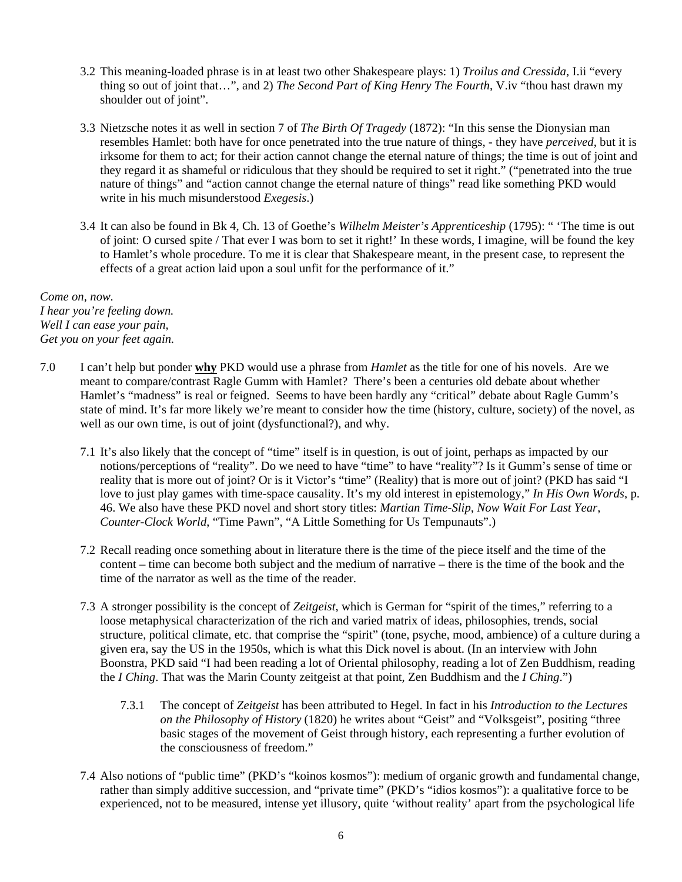- 3.2 This meaning-loaded phrase is in at least two other Shakespeare plays: 1) *Troilus and Cressida*, I.ii "every thing so out of joint that…", and 2) *The Second Part of King Henry The Fourth*, V.iv "thou hast drawn my shoulder out of joint".
- 3.3 Nietzsche notes it as well in section 7 of *The Birth Of Tragedy* (1872): "In this sense the Dionysian man resembles Hamlet: both have for once penetrated into the true nature of things, - they have *perceived*, but it is irksome for them to act; for their action cannot change the eternal nature of things; the time is out of joint and they regard it as shameful or ridiculous that they should be required to set it right." ("penetrated into the true nature of things" and "action cannot change the eternal nature of things" read like something PKD would write in his much misunderstood *Exegesis*.)
- 3.4 It can also be found in Bk 4, Ch. 13 of Goethe's *Wilhelm Meister's Apprenticeship* (1795): " 'The time is out of joint: O cursed spite / That ever I was born to set it right!' In these words, I imagine, will be found the key to Hamlet's whole procedure. To me it is clear that Shakespeare meant, in the present case, to represent the effects of a great action laid upon a soul unfit for the performance of it."

*Come on, now. I hear you're feeling down. Well I can ease your pain, Get you on your feet again.*

- 7.0 I can't help but ponder **why** PKD would use a phrase from *Hamlet* as the title for one of his novels. Are we meant to compare/contrast Ragle Gumm with Hamlet? There's been a centuries old debate about whether Hamlet's "madness" is real or feigned. Seems to have been hardly any "critical" debate about Ragle Gumm's state of mind. It's far more likely we're meant to consider how the time (history, culture, society) of the novel, as well as our own time, is out of joint (dysfunctional?), and why.
	- 7.1 It's also likely that the concept of "time" itself is in question, is out of joint, perhaps as impacted by our notions/perceptions of "reality". Do we need to have "time" to have "reality"? Is it Gumm's sense of time or reality that is more out of joint? Or is it Victor's "time" (Reality) that is more out of joint? (PKD has said "I love to just play games with time-space causality. It's my old interest in epistemology," *In His Own Words*, p. 46. We also have these PKD novel and short story titles: *Martian Time-Slip*, *Now Wait For Last Year*, *Counter-Clock World*, "Time Pawn", "A Little Something for Us Tempunauts".)
	- 7.2 Recall reading once something about in literature there is the time of the piece itself and the time of the content – time can become both subject and the medium of narrative – there is the time of the book and the time of the narrator as well as the time of the reader.
	- 7.3 A stronger possibility is the concept of *Zeitgeist*, which is German for "spirit of the times," referring to a loose metaphysical characterization of the rich and varied matrix of ideas, philosophies, trends, social structure, political climate, etc. that comprise the "spirit" (tone, psyche, mood, ambience) of a culture during a given era, say the US in the 1950s, which is what this Dick novel is about. (In an interview with John Boonstra, PKD said "I had been reading a lot of Oriental philosophy, reading a lot of Zen Buddhism, reading the *I Ching*. That was the Marin County zeitgeist at that point, Zen Buddhism and the *I Ching*.")
		- 7.3.1 The concept of *Zeitgeist* has been attributed to Hegel. In fact in his *Introduction to the Lectures on the Philosophy of History* (1820) he writes about "Geist" and "Volksgeist", positing "three basic stages of the movement of Geist through history, each representing a further evolution of the consciousness of freedom."
	- 7.4 Also notions of "public time" (PKD's "koinos kosmos"): medium of organic growth and fundamental change, rather than simply additive succession, and "private time" (PKD's "idios kosmos"): a qualitative force to be experienced, not to be measured, intense yet illusory, quite 'without reality' apart from the psychological life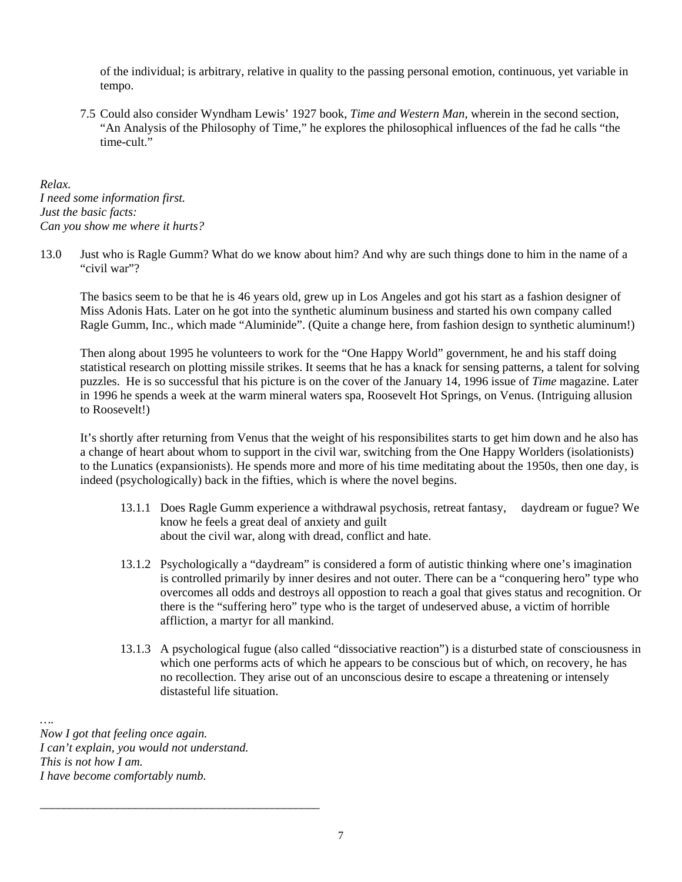of the individual; is arbitrary, relative in quality to the passing personal emotion, continuous, yet variable in tempo.

7.5 Could also consider Wyndham Lewis' 1927 book, *Time and Western Man*, wherein in the second section, "An Analysis of the Philosophy of Time," he explores the philosophical influences of the fad he calls "the time-cult."

*Relax. I need some information first. Just the basic facts: Can you show me where it hurts?*

13.0 Just who is Ragle Gumm? What do we know about him? And why are such things done to him in the name of a "civil war"?

 The basics seem to be that he is 46 years old, grew up in Los Angeles and got his start as a fashion designer of Miss Adonis Hats. Later on he got into the synthetic aluminum business and started his own company called Ragle Gumm, Inc., which made "Aluminide". (Quite a change here, from fashion design to synthetic aluminum!)

 Then along about 1995 he volunteers to work for the "One Happy World" government, he and his staff doing statistical research on plotting missile strikes. It seems that he has a knack for sensing patterns, a talent for solving puzzles. He is so successful that his picture is on the cover of the January 14, 1996 issue of *Time* magazine. Later in 1996 he spends a week at the warm mineral waters spa, Roosevelt Hot Springs, on Venus. (Intriguing allusion to Roosevelt!)

 It's shortly after returning from Venus that the weight of his responsibilites starts to get him down and he also has a change of heart about whom to support in the civil war, switching from the One Happy Worlders (isolationists) to the Lunatics (expansionists). He spends more and more of his time meditating about the 1950s, then one day, is indeed (psychologically) back in the fifties, which is where the novel begins.

- 13.1.1 Does Ragle Gumm experience a withdrawal psychosis, retreat fantasy, daydream or fugue? We know he feels a great deal of anxiety and guilt about the civil war, along with dread, conflict and hate.
- 13.1.2 Psychologically a "daydream" is considered a form of autistic thinking where one's imagination is controlled primarily by inner desires and not outer. There can be a "conquering hero" type who overcomes all odds and destroys all oppostion to reach a goal that gives status and recognition. Or there is the "suffering hero" type who is the target of undeserved abuse, a victim of horrible affliction, a martyr for all mankind.
- 13.1.3 A psychological fugue (also called "dissociative reaction") is a disturbed state of consciousness in which one performs acts of which he appears to be conscious but of which, on recovery, he has no recollection. They arise out of an unconscious desire to escape a threatening or intensely distasteful life situation.

*…. Now I got that feeling once again. I can't explain, you would not understand. This is not how I am. I have become comfortably numb.*

\_\_\_\_\_\_\_\_\_\_\_\_\_\_\_\_\_\_\_\_\_\_\_\_\_\_\_\_\_\_\_\_\_\_\_\_\_\_\_\_\_\_\_\_\_\_\_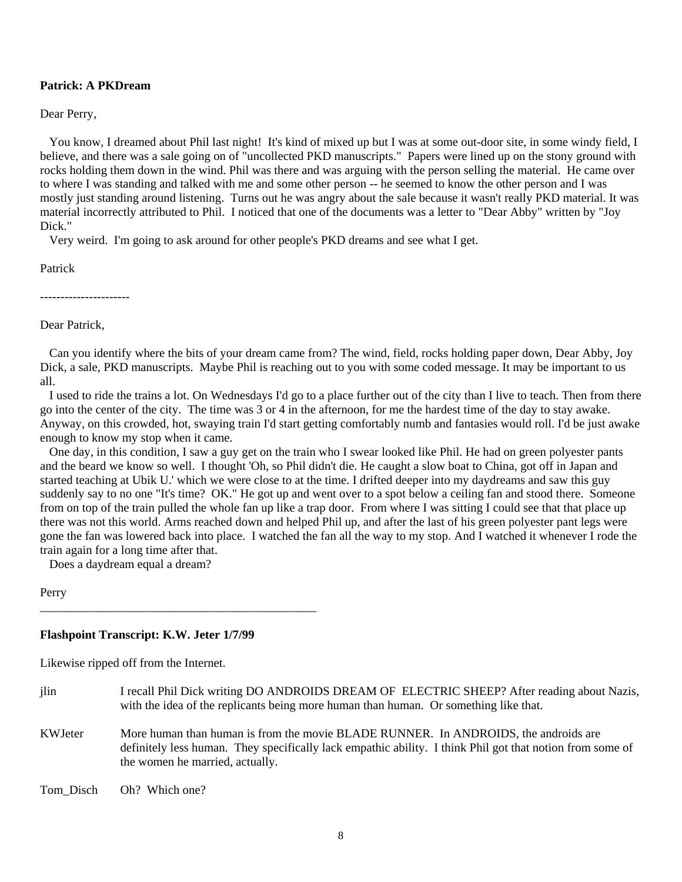# **Patrick: A PKDream**

Dear Perry,

You know, I dreamed about Phil last night! It's kind of mixed up but I was at some out-door site, in some windy field, I believe, and there was a sale going on of "uncollected PKD manuscripts." Papers were lined up on the stony ground with rocks holding them down in the wind. Phil was there and was arguing with the person selling the material. He came over to where I was standing and talked with me and some other person -- he seemed to know the other person and I was mostly just standing around listening. Turns out he was angry about the sale because it wasn't really PKD material. It was material incorrectly attributed to Phil. I noticed that one of the documents was a letter to "Dear Abby" written by "Joy Dick."

Very weird. I'm going to ask around for other people's PKD dreams and see what I get.

Patrick

Dear Patrick,

 Can you identify where the bits of your dream came from? The wind, field, rocks holding paper down, Dear Abby, Joy Dick, a sale, PKD manuscripts. Maybe Phil is reaching out to you with some coded message. It may be important to us all.

 I used to ride the trains a lot. On Wednesdays I'd go to a place further out of the city than I live to teach. Then from there go into the center of the city. The time was 3 or 4 in the afternoon, for me the hardest time of the day to stay awake. Anyway, on this crowded, hot, swaying train I'd start getting comfortably numb and fantasies would roll. I'd be just awake enough to know my stop when it came.

 One day, in this condition, I saw a guy get on the train who I swear looked like Phil. He had on green polyester pants and the beard we know so well. I thought 'Oh, so Phil didn't die. He caught a slow boat to China, got off in Japan and started teaching at Ubik U.' which we were close to at the time. I drifted deeper into my daydreams and saw this guy suddenly say to no one "It's time? OK." He got up and went over to a spot below a ceiling fan and stood there. Someone from on top of the train pulled the whole fan up like a trap door. From where I was sitting I could see that that place up there was not this world. Arms reached down and helped Phil up, and after the last of his green polyester pant legs were gone the fan was lowered back into place. I watched the fan all the way to my stop. And I watched it whenever I rode the train again for a long time after that.

Does a daydream equal a dream?

Perry

# **Flashpoint Transcript: K.W. Jeter 1/7/99**

\_\_\_\_\_\_\_\_\_\_\_\_\_\_\_\_\_\_\_\_\_\_\_\_\_\_\_\_\_\_\_\_\_\_\_\_\_\_\_\_\_\_\_\_\_

Likewise ripped off from the Internet.

- jlin I recall Phil Dick writing DO ANDROIDS DREAM OF ELECTRIC SHEEP? After reading about Nazis, with the idea of the replicants being more human than human. Or something like that.
- KWJeter More human than human is from the movie BLADE RUNNER. In ANDROIDS, the androids are definitely less human. They specifically lack empathic ability. I think Phil got that notion from some of the women he married, actually.

Tom Disch Oh? Which one?